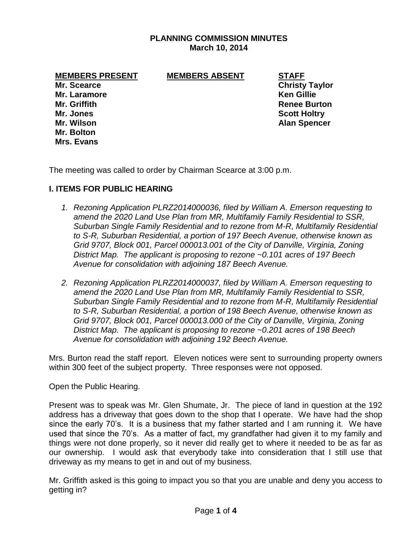## **PLANNING COMMISSION MINUTES March 10, 2014**

**MEMBERS PRESENT MEMBERS ABSENT STAFF**

**Mr. Laramore Ken Gillie Mr. Griffith Renee Burton Mr. Jones Scott Holtry Mr. Wilson Alan Spencer Mr. Bolton Mrs. Evans**

**Mr. Scearce Christy Taylor** 

The meeting was called to order by Chairman Scearce at 3:00 p.m.

## **I. ITEMS FOR PUBLIC HEARING**

- *1. Rezoning Application PLRZ2014000036, filed by William A. Emerson requesting to amend the 2020 Land Use Plan from MR, Multifamily Family Residential to SSR, Suburban Single Family Residential and to rezone from M-R, Multifamily Residential to S-R, Suburban Residential, a portion of 197 Beech Avenue, otherwise known as Grid 9707, Block 001, Parcel 000013.001 of the City of Danville, Virginia, Zoning District Map. The applicant is proposing to rezone ~0.101 acres of 197 Beech Avenue for consolidation with adjoining 187 Beech Avenue.*
- *2. Rezoning Application PLRZ2014000037, filed by William A. Emerson requesting to amend the 2020 Land Use Plan from MR, Multifamily Family Residential to SSR, Suburban Single Family Residential and to rezone from M-R, Multifamily Residential to S-R, Suburban Residential, a portion of 198 Beech Avenue, otherwise known as Grid 9707, Block 001, Parcel 000013.000 of the City of Danville, Virginia, Zoning District Map. The applicant is proposing to rezone ~0.201 acres of 198 Beech Avenue for consolidation with adjoining 192 Beech Avenue.*

Mrs. Burton read the staff report. Eleven notices were sent to surrounding property owners within 300 feet of the subject property. Three responses were not opposed.

Open the Public Hearing.

Present was to speak was Mr. Glen Shumate, Jr. The piece of land in question at the 192 address has a driveway that goes down to the shop that I operate. We have had the shop since the early 70's. It is a business that my father started and I am running it. We have used that since the 70's. As a matter of fact, my grandfather had given it to my family and things were not done properly, so it never did really get to where it needed to be as far as our ownership. I would ask that everybody take into consideration that I still use that driveway as my means to get in and out of my business.

Mr. Griffith asked is this going to impact you so that you are unable and deny you access to getting in?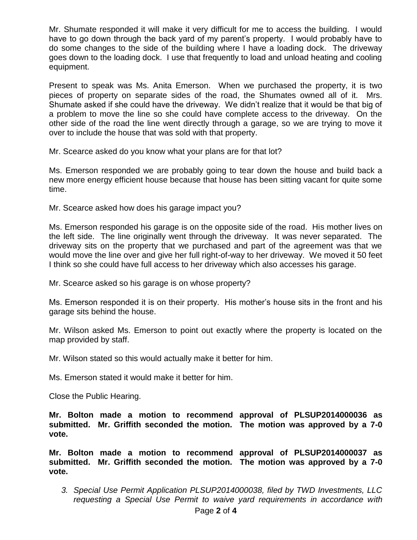Mr. Shumate responded it will make it very difficult for me to access the building. I would have to go down through the back yard of my parent's property. I would probably have to do some changes to the side of the building where I have a loading dock. The driveway goes down to the loading dock. I use that frequently to load and unload heating and cooling equipment.

Present to speak was Ms. Anita Emerson. When we purchased the property, it is two pieces of property on separate sides of the road, the Shumates owned all of it. Mrs. Shumate asked if she could have the driveway. We didn't realize that it would be that big of a problem to move the line so she could have complete access to the driveway. On the other side of the road the line went directly through a garage, so we are trying to move it over to include the house that was sold with that property.

Mr. Scearce asked do you know what your plans are for that lot?

Ms. Emerson responded we are probably going to tear down the house and build back a new more energy efficient house because that house has been sitting vacant for quite some time.

Mr. Scearce asked how does his garage impact you?

Ms. Emerson responded his garage is on the opposite side of the road. His mother lives on the left side. The line originally went through the driveway. It was never separated. The driveway sits on the property that we purchased and part of the agreement was that we would move the line over and give her full right-of-way to her driveway. We moved it 50 feet I think so she could have full access to her driveway which also accesses his garage.

Mr. Scearce asked so his garage is on whose property?

Ms. Emerson responded it is on their property. His mother's house sits in the front and his garage sits behind the house.

Mr. Wilson asked Ms. Emerson to point out exactly where the property is located on the map provided by staff.

Mr. Wilson stated so this would actually make it better for him.

Ms. Emerson stated it would make it better for him.

Close the Public Hearing.

**Mr. Bolton made a motion to recommend approval of PLSUP2014000036 as submitted. Mr. Griffith seconded the motion. The motion was approved by a 7-0 vote.** 

**Mr. Bolton made a motion to recommend approval of PLSUP2014000037 as submitted. Mr. Griffith seconded the motion. The motion was approved by a 7-0 vote.** 

*3. Special Use Permit Application PLSUP2014000038, filed by TWD Investments, LLC requesting a Special Use Permit to waive yard requirements in accordance with*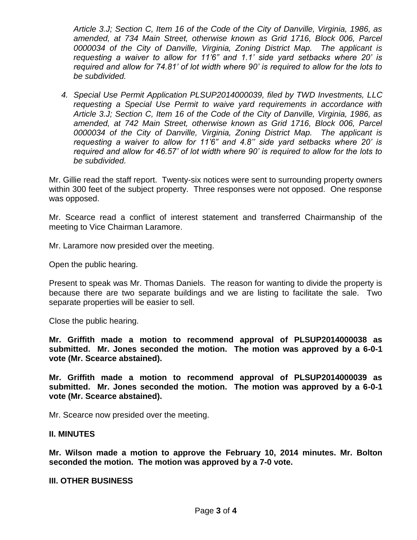*Article 3.J; Section C, Item 16 of the Code of the City of Danville, Virginia, 1986, as amended, at 734 Main Street, otherwise known as Grid 1716, Block 006, Parcel 0000034 of the City of Danville, Virginia, Zoning District Map. The applicant is requesting a waiver to allow for 11'6" and 1.1' side yard setbacks where 20' is required and allow for 74.81' of lot width where 90' is required to allow for the lots to be subdivided.*

*4. Special Use Permit Application PLSUP2014000039, filed by TWD Investments, LLC requesting a Special Use Permit to waive yard requirements in accordance with Article 3.J; Section C, Item 16 of the Code of the City of Danville, Virginia, 1986, as amended, at 742 Main Street, otherwise known as Grid 1716, Block 006, Parcel 0000034 of the City of Danville, Virginia, Zoning District Map. The applicant is requesting a waiver to allow for 11'6" and 4.8'' side yard setbacks where 20' is required and allow for 46.57' of lot width where 90' is required to allow for the lots to be subdivided.*

Mr. Gillie read the staff report. Twenty-six notices were sent to surrounding property owners within 300 feet of the subject property. Three responses were not opposed. One response was opposed.

Mr. Scearce read a conflict of interest statement and transferred Chairmanship of the meeting to Vice Chairman Laramore.

Mr. Laramore now presided over the meeting.

Open the public hearing.

Present to speak was Mr. Thomas Daniels. The reason for wanting to divide the property is because there are two separate buildings and we are listing to facilitate the sale. Two separate properties will be easier to sell.

Close the public hearing.

**Mr. Griffith made a motion to recommend approval of PLSUP2014000038 as submitted. Mr. Jones seconded the motion. The motion was approved by a 6-0-1 vote (Mr. Scearce abstained).**

**Mr. Griffith made a motion to recommend approval of PLSUP2014000039 as submitted. Mr. Jones seconded the motion. The motion was approved by a 6-0-1 vote (Mr. Scearce abstained).**

Mr. Scearce now presided over the meeting.

## **II. MINUTES**

**Mr. Wilson made a motion to approve the February 10, 2014 minutes. Mr. Bolton seconded the motion. The motion was approved by a 7-0 vote.**

**III. OTHER BUSINESS**